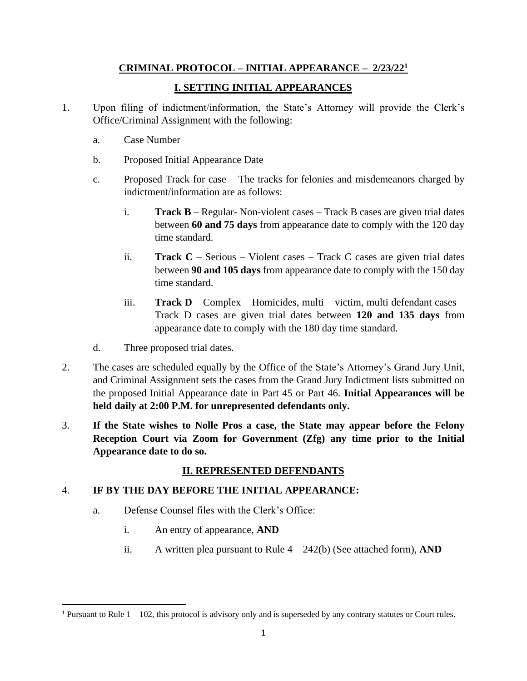### **CRIMINAL PROTOCOL – INITIAL APPEARANCE – 2/23/22 1**

### **I. SETTING INITIAL APPEARANCES**

- 1. Upon filing of indictment/information, the State's Attorney will provide the Clerk's Office/Criminal Assignment with the following:
	- a. Case Number
	- b. Proposed Initial Appearance Date
	- c. Proposed Track for case The tracks for felonies and misdemeanors charged by indictment/information are as follows:
		- i. **Track B** Regular- Non-violent cases Track B cases are given trial dates between **60 and 75 days** from appearance date to comply with the 120 day time standard.
		- ii. **Track C** Serious Violent cases Track C cases are given trial dates between **90 and 105 days** from appearance date to comply with the 150 day time standard.
		- iii. **Track D** Complex Homicides, multi victim, multi defendant cases Track D cases are given trial dates between **120 and 135 days** from appearance date to comply with the 180 day time standard.
	- d. Three proposed trial dates.
- 2. The cases are scheduled equally by the Office of the State's Attorney's Grand Jury Unit, and Criminal Assignment sets the cases from the Grand Jury Indictment lists submitted on the proposed Initial Appearance date in Part 45 or Part 46. **Initial Appearances will be held daily at 2:00 P.M. for unrepresented defendants only.**
- 3. **If the State wishes to Nolle Pros a case, the State may appear before the Felony Reception Court via Zoom for Government (Zfg) any time prior to the Initial Appearance date to do so.**

# **II. REPRESENTED DEFENDANTS**

# 4. **IF BY THE DAY BEFORE THE INITIAL APPEARANCE:**

- a. Defense Counsel files with the Clerk's Office:
	- i. An entry of appearance, **AND**
	- ii. A written plea pursuant to Rule  $4 242(b)$  (See attached form), **AND**

<sup>&</sup>lt;sup>1</sup> Pursuant to Rule  $1 - 102$ , this protocol is advisory only and is superseded by any contrary statutes or Court rules.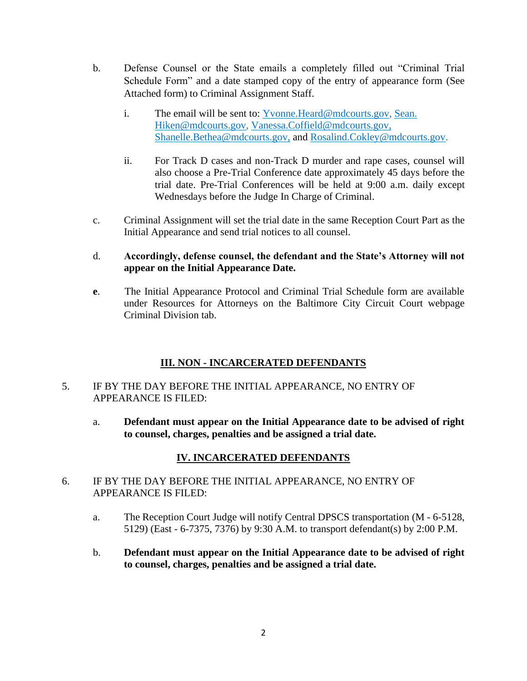- b. Defense Counsel or the State emails a completely filled out "Criminal Trial Schedule Form" and a date stamped copy of the entry of appearance form (See Attached form) to Criminal Assignment Staff.
	- i. The email will be sent to: [Yvonne.Heard@mdcourts.gov,](mailto:Yvonne.Heard@mdcourts.gov) [Sean.](mailto:Sean.%20Hiken@mdcourts.gov)  [Hiken@mdcourts.gov,](mailto:Sean.%20Hiken@mdcourts.gov) [Vanessa.Coffield@mdcourts.gov,](mailto:Vanessa.Coffield@mdcourts.gov) Shanelle.Bethea@mdcourts.gov, and [Rosalind.Cokley@mdcourts.gov.](mailto:Rosalind.Cokley@mdcourts.gov)
	- ii. For Track D cases and non-Track D murder and rape cases, counsel will also choose a Pre-Trial Conference date approximately 45 days before the trial date. Pre-Trial Conferences will be held at 9:00 a.m. daily except Wednesdays before the Judge In Charge of Criminal.
- c. Criminal Assignment will set the trial date in the same Reception Court Part as the Initial Appearance and send trial notices to all counsel.

#### d. **Accordingly, defense counsel, the defendant and the State's Attorney will not appear on the Initial Appearance Date.**

**e**. The Initial Appearance Protocol and Criminal Trial Schedule form are available under Resources for Attorneys on the Baltimore City Circuit Court webpage Criminal Division tab.

# **III. NON - INCARCERATED DEFENDANTS**

### 5. IF BY THE DAY BEFORE THE INITIAL APPEARANCE, NO ENTRY OF APPEARANCE IS FILED:

a. **Defendant must appear on the Initial Appearance date to be advised of right to counsel, charges, penalties and be assigned a trial date.**

# **IV. INCARCERATED DEFENDANTS**

- 6. IF BY THE DAY BEFORE THE INITIAL APPEARANCE, NO ENTRY OF APPEARANCE IS FILED:
	- a. The Reception Court Judge will notify Central DPSCS transportation (M 6-5128, 5129) (East - 6-7375, 7376) by 9:30 A.M. to transport defendant(s) by 2:00 P.M.
	- b. **Defendant must appear on the Initial Appearance date to be advised of right to counsel, charges, penalties and be assigned a trial date.**